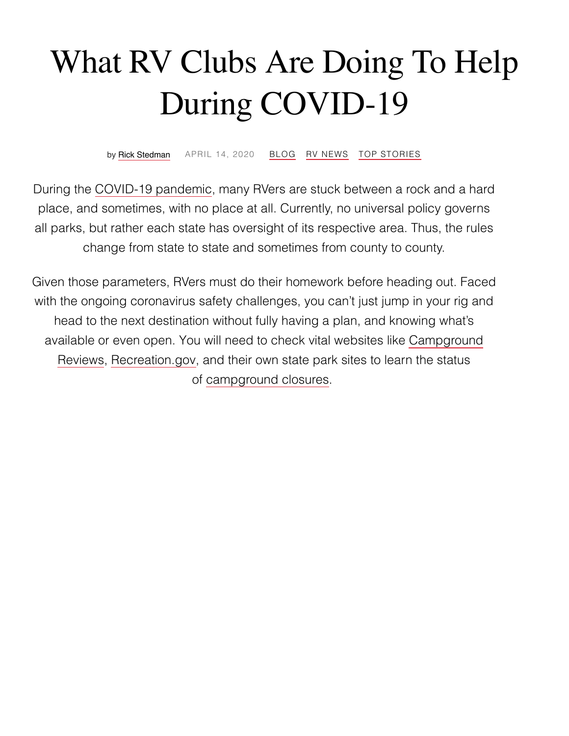# What RV Clubs Are Doing To Help During COVID-19

by [Rick Stedman](https://rvlife.com/author/the-19th-hole/) [APRIL](https://rvlife.com/rv-clubs-covid/) 14, 2020 [BLOG](https://rvlife.com/category/blog/) RV [NEWS](https://rvlife.com/category/rv-news/) TOP [STORIES](https://rvlife.com/category/top-stories/)

During the [COVID-19](https://rvlife.com/campground-closures-2020/) pandemic, many RVers are stuck between a rock and a hard place, and sometimes, with no place at all. Currently, no universal policy governs all parks, but rather each state has oversight of its respective area. Thus, the rules change from state to state and sometimes from county to county.

Given those parameters, RVers must do their homework before heading out. Faced with the ongoing coronavirus safety challenges, you can't just jump in your rig and head to the next destination without fully having a plan, and knowing what's available or even open. You will need to check vital websites like Campground Reviews, [Recreation.gov,](https://www.campgroundreviews.com/) and their own state park sites to learn the status of [campground](https://rvlife.com/campground-closures-2020/) closures.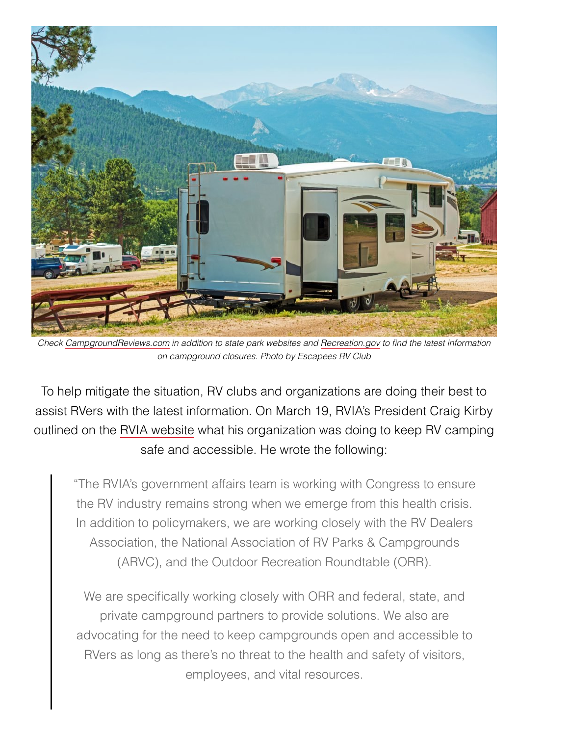

*Check [CampgroundReviews.com](https://www.campgroundreviews.com/) in addition to state park websites and [Recreation.gov](https://www.recreation.gov/?utm_source=RVLIFE) to find the latest information on campground closures. Photo by Escapees RV Club*

To help mitigate the situation, RV clubs and organizations are doing their best to assist RVers with the latest information. On March 19, RVIA's President Craig Kirby outlined on the RVIA [website](https://www.rvia.org/news-insights/rv-industry-association-working-policymakers-covid-19-relief-rv-industry) what his organization was doing to keep RV camping safe and accessible. He wrote the following:

"The RVIA's government affairs team is working with Congress to ensure the RV industry remains strong when we emerge from this health crisis. In addition to policymakers, we are working closely with the RV Dealers Association, the National Association of RV Parks & Campgrounds (ARVC), and the Outdoor Recreation Roundtable (ORR).

We are specifically working closely with ORR and federal, state, and private campground partners to provide solutions. We also are advocating for the need to keep campgrounds open and accessible to RVers as long as there's no threat to the health and safety of visitors, employees, and vital resources.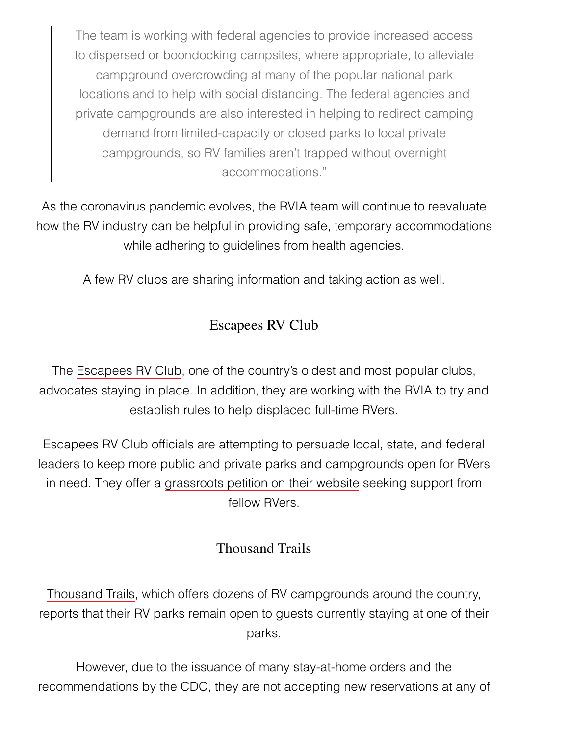The team is working with federal agencies to provide increased access to dispersed or boondocking campsites, where appropriate, to alleviate campground overcrowding at many of the popular national park locations and to help with social distancing. The federal agencies and private campgrounds are also interested in helping to redirect camping demand from limited-capacity or closed parks to local private campgrounds, so RV families aren't trapped without overnight accommodations."

As the coronavirus pandemic evolves, the RVIA team will continue to reevaluate how the RV industry can be helpful in providing safe, temporary accommodations while adhering to quidelines from health agencies.

A few RV clubs are sharing information and taking action as well.

## Escapees RV Club

The [Escapees RV](https://www.escapees.com/) Club, one of the country's oldest and most popular clubs, advocates staying in place. In addition, they are working with the RVIA to try and establish rules to help displaced full-time RVers.

Escapees RV Club officials are attempting to persuade local, state, and federal leaders to keep more public and private parks and campgrounds open for RVers in need. They offer a [grassroots petition](https://www.escapees.com/keep-rv-parks-open-during-coronavirus/) on their website seeking support from fellow RVers.

### Thousand Trails

[Thousand](https://thousandtrails.com/) Trails, which offers dozens of RV campgrounds around the country, reports that their RV parks remain open to guests currently staying at one of their parks.

However, due to the issuance of many stay-at-home orders and the recommendations by the CDC, they are not accepting new reservations at any of